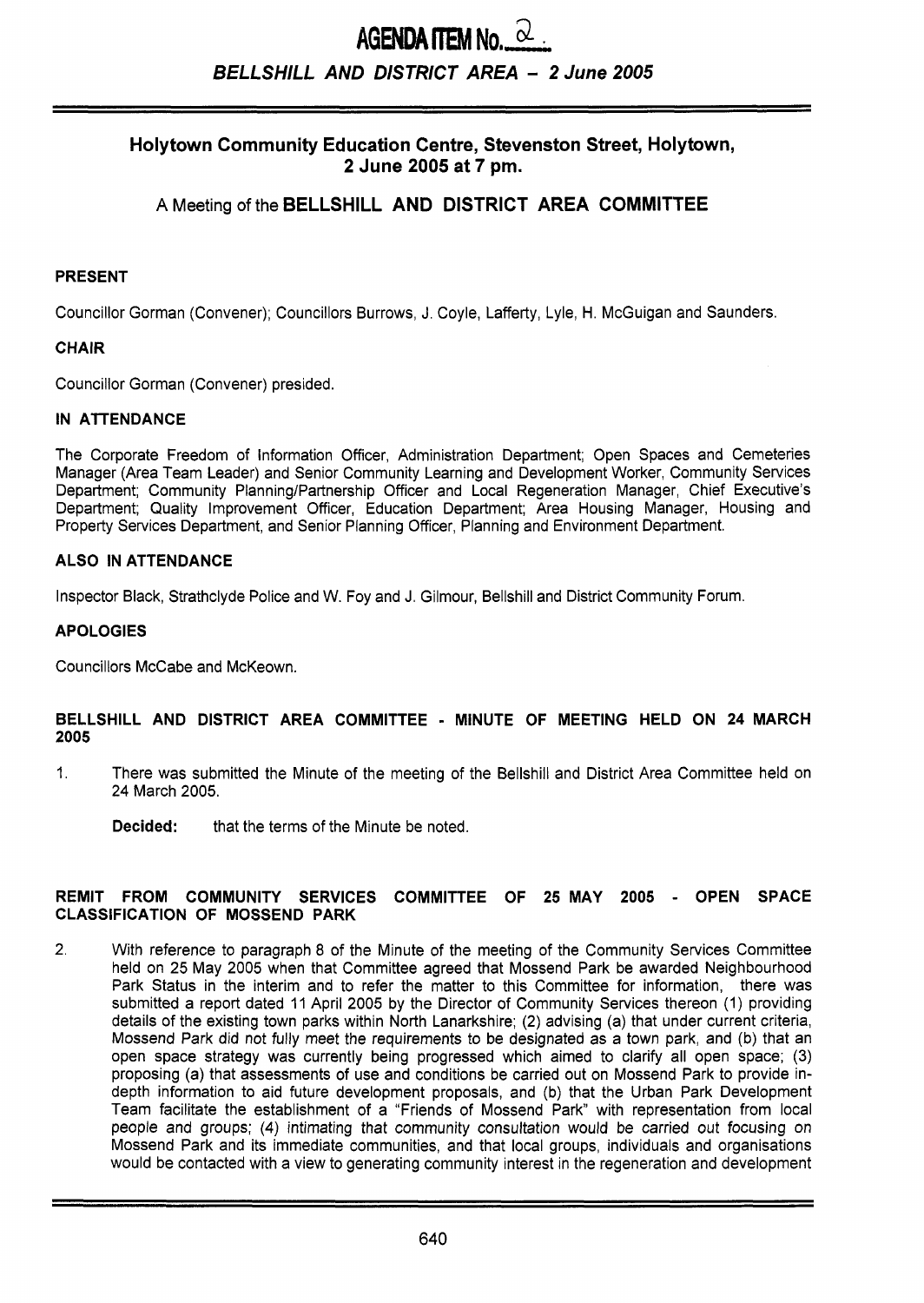# **AGENDA ITEM No.**  $\alpha$ *BELLSHILL AND DISTRICT AREA* - *2* **June 2005**

# **Holytown Community Education Centre, Stevenston Street, Holytown, 2 June 2005 at 7 pm.**

# **A** Meeting of the **BELLSHILL AND DISTRICT AREA COMMITTEE**

#### **PRESENT**

Councillor Gorman (Convener); Councillors Burrows, J. Coyle, Lafferty, Lyle, H. McGuigan and Saunders.

#### **CHAIR**

Councillor Gorman (Convener) presided.

#### **IN ATTENDANCE**

The Corporate Freedom of Information Officer, Administration Department; Open Spaces and Cemeteries Manager (Area Team Leader) and Senior Community Learning and Development Worker, Community Services Department; Community Planning/Partnership Officer and Local Regeneration Manager, Chief Executive's Department; Quality Improvement Officer, Education Department; Area Housing Manager, Housing and Property Services Department, and Senior Planning Officer, Planning and Environment Department.

#### **ALSO IN ATTENDANCE**

Inspector Black, Strathclyde Police and W. Foy and J. Gilmour, Bellshill and District Community Forum

#### **APOLOGIES**

Councillors McCabe and McKeown.

#### **BELLSHILL AND DISTRICT AREA COMMITTEE** - **MINUTE OF MEETING HELD ON 24 MARCH 2005**

1. There was submitted the Minute of the meeting of the Bellshill and District Area Committee held on 24 March 2005.

**Decided:** that the terms of the Minute be noted.

#### **REMIT FROM COMMUNITY SERVICES COMMITTEE OF 25 MAY 2005** - **OPEN SPACE CLASSIFICATION OF MOSSEND PARK**

2. With reference to paragraph 8 of the Minute of the meeting of the Community Services Committee held on 25 May 2005 when that Committee agreed that Mossend Park be awarded Neighbourhood Park Status in the interim and to refer the matter to this Committee for information, there was submitted a report dated 11 April 2005 by the Director of Community Services thereon (1) providing details of the existing town parks within North Lanarkshire; **(2)** advising (a) that under current criteria, Mossend Park did not fully meet the requirements to be designated as a town park, and (b) that an open space strategy was currently being progressed which aimed to clarify all open space; (3) proposing (a) that assessments of use and conditions be carried out on Mossend Park to provide indepth information to aid future development proposals, and (b) that the Urban Park Development Team facilitate the establishment of a "Friends of Mossend Park" with representation from local people and groups; **(4)** intimating that community consultation would be carried out focusing on Mossend Park and its immediate communities, and that local groups, individuals and organisations would be contacted with a view to generating community interest in the regeneration and development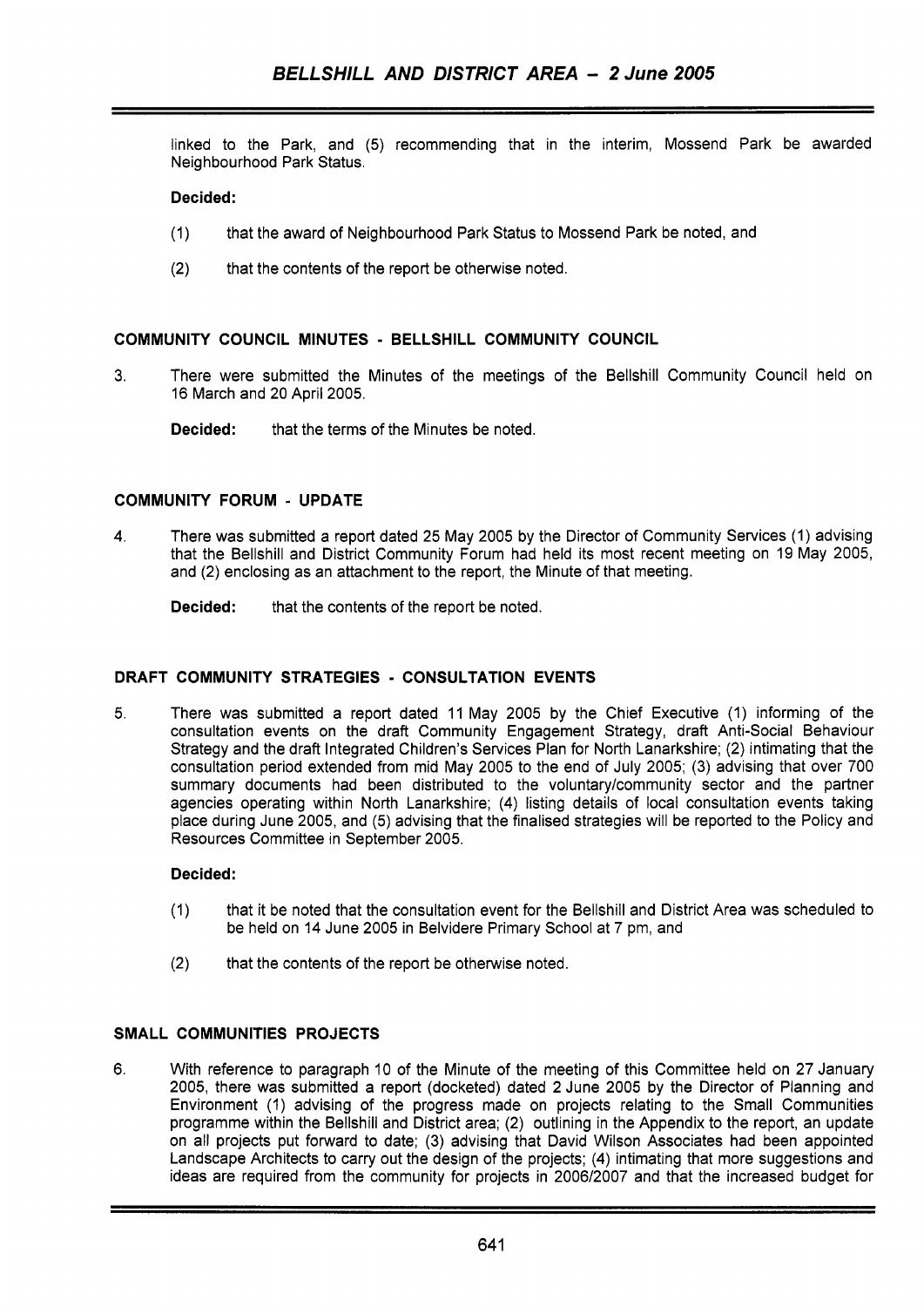linked to the Park, and (5) recommending that in the interim, Mossend Park be awarded Neighbourhood Park Status.

# **Decided:**

- (1) that the award of Neighbourhood Park Status to Mossend Park be noted, and
- (2) that the contents of the report be otherwise noted.

#### **COMMUNITY COUNCIL MINUTES** - **BELLSHILL COMMUNITY COUNCIL**

- **3.** There were submitted the Minutes of the meetings of the Bellshill Community Council held on 16 March and 20 April 2005.
	- **Decided:** that the terms of the Minutes be noted.

# **COMMUNITY FORUM** - **UPDATE**

**4.** There was submitted a report dated 25 May 2005 by the Director of Community Services (1) advising that the Bellshill and District Community Forum had held its most recent meeting on 19 May 2005, and (2) enclosing as an attachment to the report, the Minute of that meeting.

**Decided:** that the contents of the report be noted.

#### **DRAFT COMMUNITY STRATEGIES** - **CONSULTATION EVENTS**

5. There was submitted a report dated 11 May 2005 by the Chief Executive (1) informing of the consultation events on the draft Community Engagement Strategy, draft Anti-Social Behaviour Strategy and the draft Integrated Children's Services Plan for North Lanarkshire; (2) intimating that the consultation period extended from mid May 2005 to the end of July 2005; (3) advising that over 700 summary documents had been distributed to the voluntary/community sector and the partner agencies operating within North Lanarkshire; **(4)** listing details of local consultation events taking place during June 2005, and (5) advising that the finalised strategies will be reported to the Policy and Resources Committee in September 2005.

# **Decided:**

- (1) that it be noted that the consultation event for the Bellshill and District Area was scheduled to be held **on** 14 June 2005 in Belvidere Primary School at 7 pm, and
- (2) that the contents of the report be otherwise noted.

# **SMALL COMMUNITIES PROJECTS**

6. With reference to paragraph 10 of the Minute of the meeting of this Committee held on 27 January 2005, there was submitted a report (docketed) dated **2** June 2005 by the Director of Planning and Environment (1) advising of the progress made on projects relating to the Small Communities programme within the Bellshill and District area; (2) outlining in the Appendix to the report, an update on all projects put forward to date; (3) advising that David Wilson Associates had been appointed Landscape Architects to carry out the design of the projects; (4) intimating that more suggestions and ideas are required from the community for projects in 2006/2007 and that the increased budget for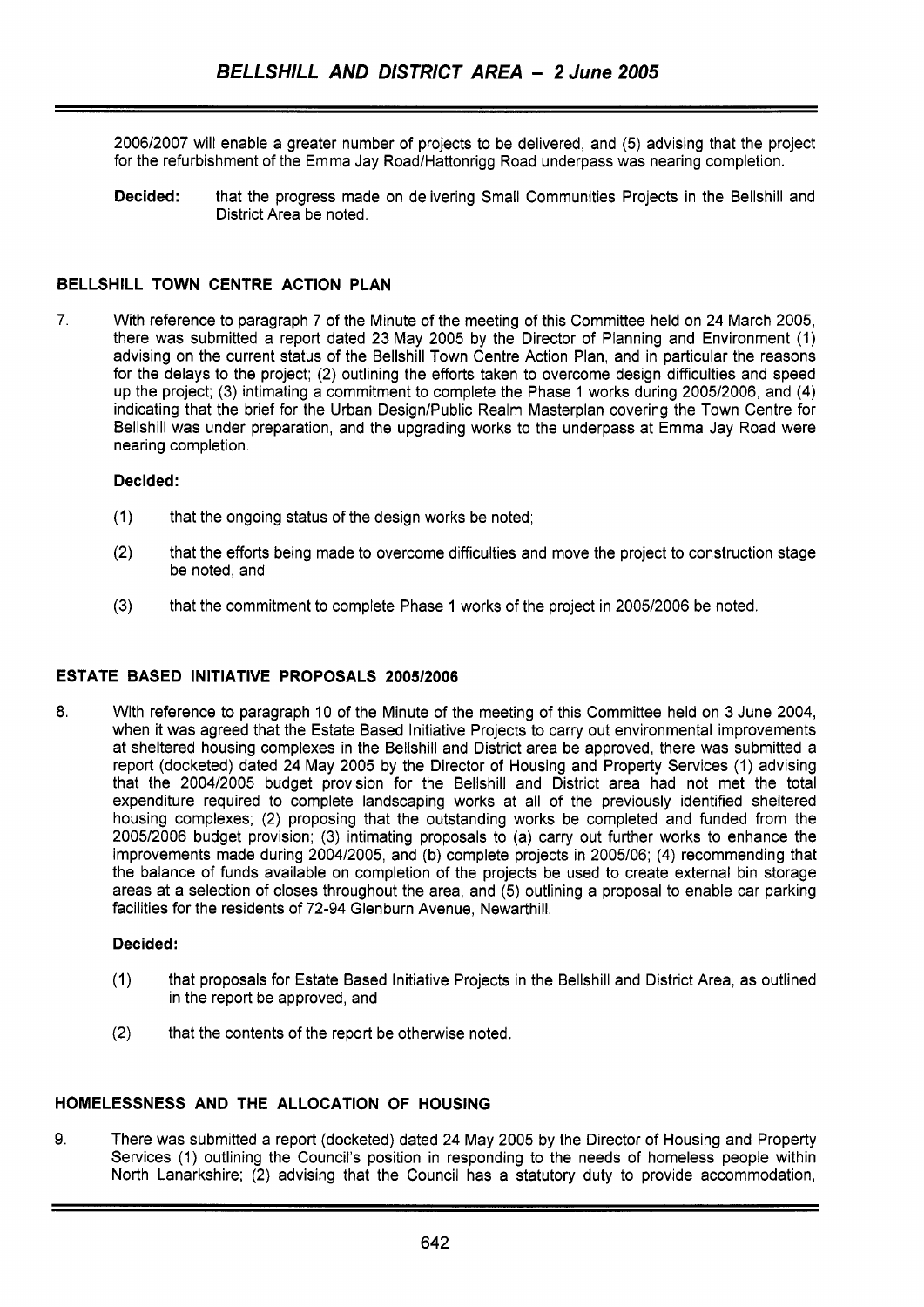2006/2007 will enable a greater number of projects to be delivered, and (5) advising that the project for the refurbishment of the Emma Jay Road/Hattonrigg Road underpass was nearing completion.

**Decided:** that the progress made on delivering Small Communities Projects in the Bellshill and District Area be noted.

#### **BELLSHILL TOWN CENTRE ACTION PLAN**

**7.** With reference to paragraph 7 of the Minute of the meeting of this Committee held on 24 March 2005, there was submitted a report dated 23 May 2005 by the Director of Planning and Environment (1) advising on the current status of the Bellshill Town Centre Action Plan, and in particular the reasons for the delays to the project; (2) outlining the efforts taken to overcome design difficulties and speed up the project; (3) intimating a commitment to complete the Phase 1 works during 2005/2006, and (4) indicating that the brief for the Urban Design/Public Realm Masterplan covering the Town Centre for Bellshill was under preparation, and the upgrading works to the underpass at Emma Jay Road were nearing completion.

#### **Decided:**

- (1) that the ongoing status of the design works be noted;
- (2) that the efforts being made to overcome difficulties and move the project to construction stage be noted, and
- (3) that the commitment to complete Phase 1 works of the project in 200512006 be noted.

# **ESTATE BASED INITIATIVE PROPOSALS 2005/2006**

**8.** With reference to paragraph 10 of the Minute of the meeting of this Committee held on 3 June 2004, when it was agreed that the Estate Based Initiative Projects to carry out environmental improvements at sheltered housing complexes in the Bellshill and District area be approved, there was submitted a report (docketed) dated 24 May 2005 by the Director of Housing and Property Services (1) advising that the 2004/2005 budget provision for the Bellshill and District area had not met the total expenditure required to complete landscaping works at all of the previously identified sheltered housing complexes; (2) proposing that the outstanding works be completed and funded from the 2005/2006 budget provision; (3) intimating proposals to (a) carry out further works to enhance the improvements made during 2004/2005, and (b) complete projects in 2005/06; (4) recommending that the balance of funds available on completion of the projects be used to create external bin storage areas at a selection of closes throughout the area, and (5) outlining a proposal to enable car parking facilities for the residents of 72-94 Glenburn Avenue, Newarthill.

#### **Decided:**

- (1) that proposals for Estate Based Initiative Projects in the Bellshill and District Area, as outlined in the report be approved, and
- (2) that the contents of the report be otherwise noted.

# **HOMELESSNESS AND THE ALLOCATION OF HOUSING**

9. There was submitted a report (docketed) dated 24 May 2005 by the Director of Housing and Property Services (1) outlining the Council's position in responding to the needs of homeless people within North Lanarkshire; (2) advising that the Council has a statutory duty to provide accommodation,